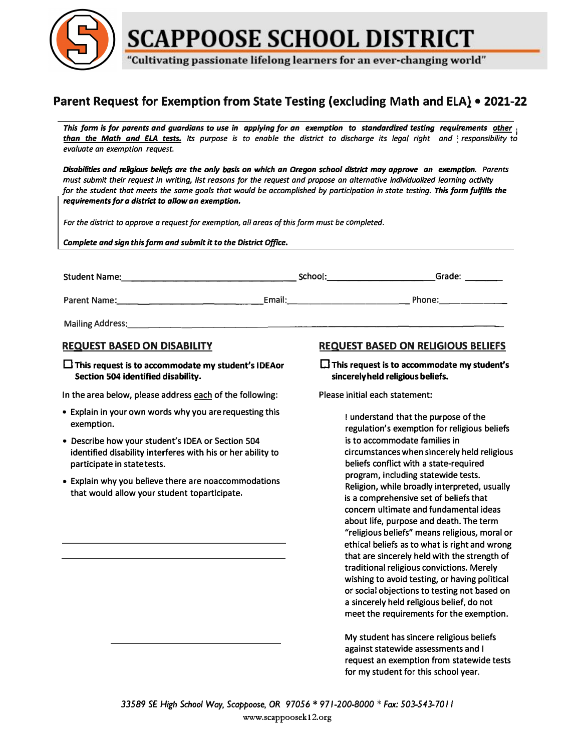

**SCAPPOOSE SCHOOL DISTRICT** 

"Cultivating passionate lifelong learners for an ever-changing world"

## **Parent Request for Exemption from State Testing (excluding Math and ELA) • 2021-22**

*This form Is for parents and guardians to use in applying for an exemption to standardized testing requirements other j* than the Math and ELA tests. Its purpose is to enable the district to discharge its legal right and responsibility to *evaluate an exemption request.* 

*Disabilities and religious beliefs are the only basis on which an Oregon school district may approve an exemption. Parents must submit their request in writing, list reasons for the request and propose an alternative individualized learning activity for the student that meets the same goals that would be accomplished by participation in state testing. This form fulfills the requirements for a district to allow an exemption.* 

*For the district to approve a request for exemption, all areas of this form must be completed.* 

*Complete and sign this form and submit it to the District Office.*

| <b>Student Name:</b>    | School: | Grade: |
|-------------------------|---------|--------|
| Parent Name:            | Email:  | Phone: |
| <b>Mailing Address:</b> |         |        |

## **REQUEST BASED ON DISABILITY**

D This **request is to accommodate my student's IDEAor Section 504 identified disability.** 

In the area below, please address each of the following:

- Explain in your own words why you are requesting this exemption.
- Describe how your student's IDEA or Section 504 identified disability interferes with his or her ability to participate in state tests.
- Explain why you believe there are noaccommodations that would allow your student toparticipate.

## **REQUEST BASED ON RELIGIOUS BELIEFS**

**D This request is to accommodate my student's sincerely held religious beliefs.** 

Please initial each statement:

I understand that the purpose of the regulation's exemption for religious beliefs is to accommodate families in circumstances when sincerely held religious beliefs conflict with a state-required program, including statewide tests. Religion, while broadly interpreted, usually is a comprehensive set of beliefs that concern ultimate and fundamental ideas about life, purpose and death. The term "religious beliefs" means religious, moral or ethical beliefs as to what is right and wrong that are sincerely held with the strength of traditional religious convictions. Merely wishing to avoid testing, or having political or social objections to testing not based on a sincerely held religious belief, do not meet the requirements for the exemption.

My student has sincere religious beliefs against statewide assessments and I request an exemption from statewide tests for my student for this school year.